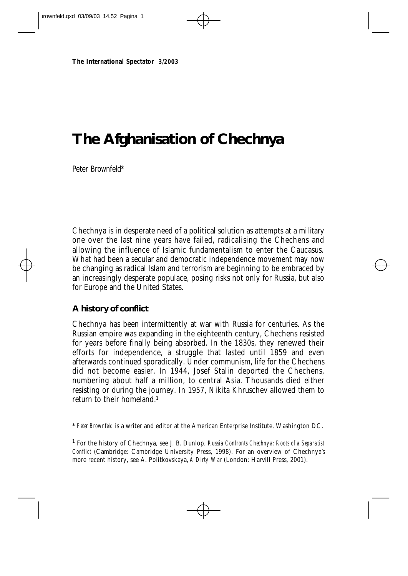**The International Spectator 3/2003**

# **The Afghanisation of Chechnya**

*Peter Brownfeld\**

Chechnya is in desperate need of a political solution as attempts at a military one over the last nine years have failed, radicalising the Chechens and allowing the influence of Islamic fundamentalism to enter the Caucasus. What had been a secular and democratic independence movement may now be changing as radical Islam and terrorism are beginning to be embraced by an increasingly desperate populace, posing risks not only for Russia, but also for Europe and the United States.

## **A history of conflict**

Chechnya has been intermittently at war with Russia for centuries. As the Russian empire was expanding in the eighteenth century, Chechens resisted for years before finally being absorbed. In the 1830s, they renewed their efforts for independence, a struggle that lasted until 1859 and even afterwards continued sporadically. Under communism, life for the Chechens did not become easier. In 1944, Josef Stalin deported the Chechens, numbering about half a million, to central Asia. Thousands died either resisting or during the journey. In 1957, Nikita Khruschev allowed them to return to their homeland.<sup>1</sup>

\* *Peter Brownfeld* is a writer and editor at the American Enterprise Institute, Washington DC.

1 For the history of Chechnya, see J. B. Dunlop, *Russia Confronts Chechnya: Roots of a Separatist Conflict* (Cambridge: Cambridge University Press, 1998). For an overview of Chechnya's more recent history, see A. Politkovskaya, *A Dirty War* (London: Harvill Press, 2001).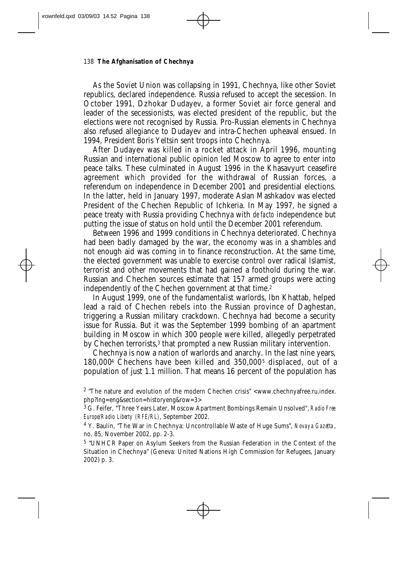As the Soviet Union was collapsing in 1991, Chechnya, like other Soviet republics, declared independence. Russia refused to accept the secession. In October 1991, Dzhokar Dudayev, a former Soviet air force general and leader of the secessionists, was elected president of the republic, but the elections were not recognised by Russia. Pro-Russian elements in Chechnya also refused allegiance to Dudayev and intra-Chechen upheaval ensued. In 1994, President Boris Yeltsin sent troops into Chechnya.

After Dudayev was killed in a rocket attack in April 1996, mounting Russian and international public opinion led Moscow to agree to enter into peace talks. These culminated in August 1996 in the Khasavyurt ceasefire agreement which provided for the withdrawal of Russian forces, a referendum on independence in December 2001 and presidential elections. In the latter, held in January 1997, moderate Aslan Mashkadov was elected President of the Chechen Republic of Ichkeria. In May 1997, he signed a peace treaty with Russia providing Chechnya with *de facto* independence but putting the issue of status on hold until the December 2001 referendum.

Between 1996 and 1999 conditions in Chechnya deteriorated. Chechnya had been badly damaged by the war, the economy was in a shambles and not enough aid was coming in to finance reconstruction. At the same time, the elected government was unable to exercise control over radical Islamist, terrorist and other movements that had gained a foothold during the war. Russian and Chechen sources estimate that 157 armed groups were acting independently of the Chechen government at that time.<sup>2</sup>

In August 1999, one of the fundamentalist warlords, Ibn Khattab, helped lead a raid of Chechen rebels into the Russian province of Daghestan, triggering a Russian military crackdown. Chechnya had become a security issue for Russia. But it was the September 1999 bombing of an apartment building in Moscow in which 300 people were killed, allegedly perpetrated by Chechen terrorists,<sup>3</sup> that prompted a new Russian military intervention.

Chechnya is now a nation of warlords and anarchy. In the last nine years, 180,000<sup>4</sup> Chechens have been killed and 350,000<sup>5</sup> displaced, out of a population of just 1.1 million. That means 16 percent of the population has

<sup>3</sup> G. Feifer, "Three Years Later, Moscow Apartment Bombings Remain Unsolved", *Radio Free Europe/Radio Liberty (RFE/RL)*, September 2002.

<sup>4</sup> Y. Baulin, "The War in Chechnya: Uncontrollable Waste of Huge Sums", *Novaya Gazetta,* no. 85, November 2002, pp. 2-3.

<sup>5</sup> "UNHCR Paper on Asylum Seekers from the Russian Federation in the Context of the Situation in Chechnya" (Geneva: United Nations High Commission for Refugees, January 2002) p. 3.

 $2$  "The nature and evolution of the modern Chechen crisis" <www.chechnyafree.ru.index. php?Ing=eng&section=historyeng&row=3>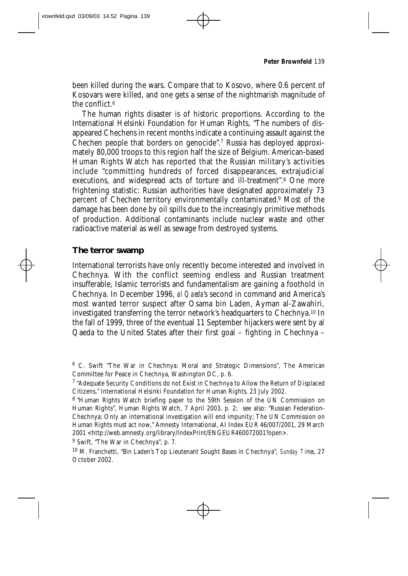been killed during the wars. Compare that to Kosovo, where 0.6 percent of Kosovars were killed, and one gets a sense of the nightmarish magnitude of the conflict.<sup>6</sup>

The human rights disaster is of historic proportions. According to the International Helsinki Foundation for Human Rights, "The numbers of disappeared Chechens in recent months indicate a continuing assault against the Chechen people that borders on genocide".<sup>7</sup> Russia has deployed approximately 80,000 troops to this region half the size of Belgium. American-based Human Rights Watch has reported that the Russian military's activities include "committing hundreds of forced disappearances, extrajudicial executions, and widespread acts of torture and ill-treatment".<sup>8</sup> One more frightening statistic: Russian authorities have designated approximately 73 percent of Chechen territory environmentally contaminated.<sup>9</sup> Most of the damage has been done by oil spills due to the increasingly primitive methods of production. Additional contaminants include nuclear waste and other radioactive material as well as sewage from destroyed systems.

## **The terror swamp**

International terrorists have only recently become interested and involved in Chechnya. With the conflict seeming endless and Russian treatment insufferable, Islamic terrorists and fundamentalism are gaining a foothold in Chechnya. In December 1996, *al Qaeda*'s second in command and America's most wanted terror suspect after Osama bin Laden, Ayman al-Zawahiri, investigated transferring the terror network's headquarters to Chechnya.<sup>10</sup> In the fall of 1999, three of the eventual 11 September hijackers were sent by al Qaeda to the United States after their first goal – fighting in Chechnya –

<sup>9</sup> Swift, "The War in Chechnya", p. 7.

<sup>10</sup> M. Franchetti, "Bin Laden's Top Lieutenant Sought Bases in Chechnya", *Sunday Times,* 27 October 2002.

<sup>6</sup> C. Swift "The War in Chechnya: Moral and Strategic Dimensions", The American Committee for Peace in Chechnya, Washington DC, p. 6.

 $7$  "Adequate Security Conditions do not Exist in Chechnya to Allow the Return of Displaced Citizens," International Helsinki Foundation for Human Rights, 23 July 2002.

<sup>8 &</sup>quot;Human Rights Watch briefing paper to the 59th Session of the UN Commission on Human Rights", Human Rights Watch, 7 April 2003, p. 2; see also: "Russian Federation-Chechnya; Only an international investigation will end impunity; The UN Commission on Human Rights must act now," Amnesty International, AI Index EUR 46/007/2001, 29 March 2001 <http://web.amnesty.org/library/IndexPrint/ENGEUR460072001?open>.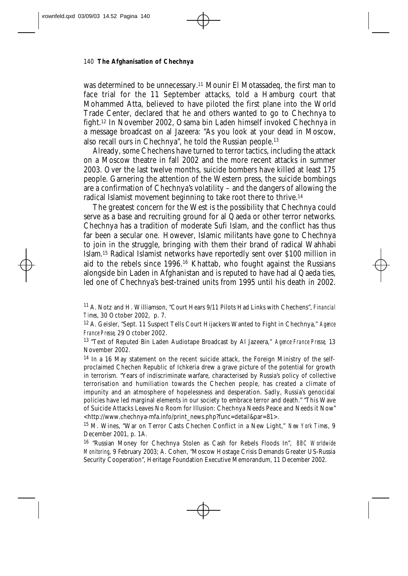was determined to be unnecessary.<sup>11</sup> Mounir El Motassadeq, the first man to face trial for the 11 September attacks, told a Hamburg court that Mohammed Atta, believed to have piloted the first plane into the World Trade Center, declared that he and others wanted to go to Chechnya to fight.<sup>12</sup> In November 2002, Osama bin Laden himself invoked Chechnya in a message broadcast on al Jazeera: "As you look at your dead in Moscow, also recall ours in Chechnya", he told the Russian people.<sup>13</sup>

Already, some Chechens have turned to terror tactics, including the attack on a Moscow theatre in fall 2002 and the more recent attacks in summer 2003. Over the last twelve months, suicide bombers have killed at least 175 people. Garnering the attention of the Western press, the suicide bombings are a confirmation of Chechnya's volatility – and the dangers of allowing the radical Islamist movement beginning to take root there to thrive.<sup>14</sup>

The greatest concern for the West is the possibility that Chechnya could serve as a base and recruiting ground for al Qaeda or other terror networks. Chechnya has a tradition of moderate Sufi Islam, and the conflict has thus far been a secular one. However, Islamic militants have gone to Chechnya to join in the struggle, bringing with them their brand of radical Wahhabi Islam.<sup>15</sup> Radical Islamist networks have reportedly sent over \$100 million in aid to the rebels since 1996.<sup>16</sup> Khattab, who fought against the Russians alongside bin Laden in Afghanistan and is reputed to have had al Qaeda ties, led one of Chechnya's best-trained units from 1995 until his death in 2002.

<sup>12</sup> A. Geisler, "Sept. 11 Suspect Tells Court Hijackers Wanted to Fight in Chechnya," *Agence France Presse,* 29 October 2002.

<sup>13</sup> "Text of Reputed Bin Laden Audiotape Broadcast by Al Jazeera," *Agence France Presse,* 13 November 2002.

<sup>14</sup> In a 16 May statement on the recent suicide attack, the Foreign Ministry of the selfproclaimed Chechen Republic of Ichkeria drew a grave picture of the potential for growth in terrorism. "Years of indiscriminate warfare, characterised by Russia's policy of collective terrorisation and humiliation towards the Chechen people, has created a climate of impunity and an atmosphere of hopelessness and desperation. Sadly, Russia's genocidal policies have led marginal elements in our society to embrace terror and death." "This Wave of Suicide Attacks Leaves No Room for Illusion: Chechnya Needs Peace and Needs it Now" <http://www.chechnya-mfa.info/print\_news.php?func=detail&par=81>.

<sup>15</sup> M. Wines, "War on Terror Casts Chechen Conflict in a New Light," *New York Times,* 9 December 2001, p. 1A.

<sup>16</sup> "Russian Money for Chechnya Stolen as Cash for Rebels Floods In", *BBC Worldwide Monitoring,* 9 February 2003; A. Cohen, "Moscow Hostage Crisis Demands Greater US-Russia Security Cooperation", Heritage Foundation Executive Memorandum, 11 December 2002.

<sup>11</sup> A. Notz and H. Williamson, "Court Hears 9/11 Pilots Had Links with Chechens", *Financial Times,* 30 October 2002, p. 7.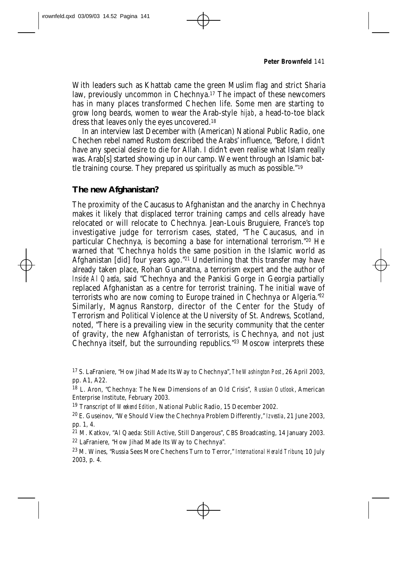With leaders such as Khattab came the green Muslim flag and strict Sharia law, previously uncommon in Chechnya.<sup>17</sup> The impact of these newcomers has in many places transformed Chechen life. Some men are starting to grow long beards, women to wear the Arab-style *hijab,* a head-to-toe black dress that leaves only the eyes uncovered.<sup>18</sup>

In an interview last December with (American) National Public Radio, one Chechen rebel named Rustom described the Arabs' influence, "Before, I didn't have any special desire to die for Allah. I didn't even realise what Islam really was. Arab[s] started showing up in our camp. We went through an Islamic battle training course. They prepared us spiritually as much as possible."<sup>19</sup>

## **The new Afghanistan?**

The proximity of the Caucasus to Afghanistan and the anarchy in Chechnya makes it likely that displaced terror training camps and cells already have relocated or will relocate to Chechnya. Jean-Louis Bruguiere, France's top investigative judge for terrorism cases, stated, "The Caucasus, and in particular Chechnya, is becoming a base for international terrorism."<sup>20</sup> He warned that "Chechnya holds the same position in the Islamic world as Afghanistan [did] four years ago."<sup>21</sup> Underlining that this transfer may have already taken place, Rohan Gunaratna, a terrorism expert and the author of *Inside Al Qaeda,* said "Chechnya and the Pankisi Gorge in Georgia partially replaced Afghanistan as a centre for terrorist training. The initial wave of terrorists who are now coming to Europe trained in Chechnya or Algeria.<sup>"22</sup> Similarly, Magnus Ranstorp, director of the Center for the Study of Terrorism and Political Violence at the University of St. Andrews, Scotland, noted, "There is a prevailing view in the security community that the center of gravity, the new Afghanistan of terrorists, is Chechnya, and not just Chechnya itself, but the surrounding republics."<sup>23</sup> Moscow interprets these

<sup>18</sup> L. Aron, "Chechnya: The New Dimensions of an Old Crisis", *Russian Outlook,* American Enterprise Institute, February 2003.

<sup>19</sup> Transcript of *Weekend Edition,* National Public Radio, 15 December 2002.

<sup>20</sup> E. Guseinov, "We Should View the Chechnya Problem Differently," *Izvestia,* 21 June 2003, pp. 1, 4.

<sup>21</sup> M. Katkov, "Al Qaeda: Still Active, Still Dangerous", CBS Broadcasting, 14 January 2003. <sup>22</sup> LaFraniere, "How Jihad Made Its Way to Chechnya".

<sup>23</sup> M. Wines, "Russia Sees More Chechens Turn to Terror," *International Herald Tribune,* 10 July 2003, p. 4.

<sup>17</sup> S. LaFraniere, "How Jihad Made Its Way to Chechnya", *The Washington Post ,* 26 April 2003, pp. A1, A22.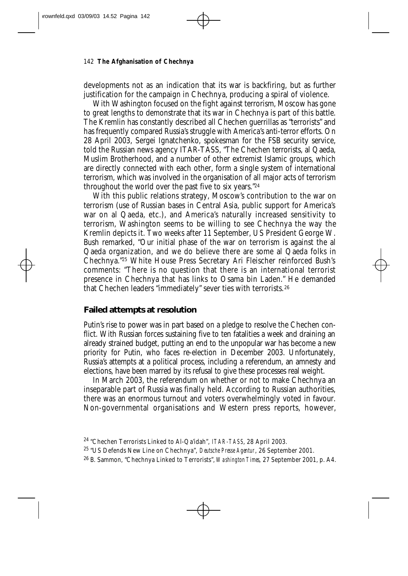developments not as an indication that its war is backfiring, but as further justification for the campaign in Chechnya, producing a spiral of violence.

With Washington focused on the fight against terrorism, Moscow has gone to great lengths to demonstrate that its war in Chechnya is part of this battle. The Kremlin has constantly described all Chechen guerrillas as "terrorists" and has frequently compared Russia's struggle with America's anti-terror efforts. On 28 April 2003, Sergei Ignatchenko, spokesman for the FSB security service, told the Russian news agency ITAR-TASS*,* "The Chechen terrorists, al Qaeda, Muslim Brotherhood, and a number of other extremist Islamic groups, which are directly connected with each other, form a single system of international terrorism, which was involved in the organisation of all major acts of terrorism throughout the world over the past five to six years."<sup>24</sup>

With this public relations strategy, Moscow's contribution to the war on terrorism (use of Russian bases in Central Asia, public support for America's war on al Qaeda, etc.), and America's naturally increased sensitivity to terrorism, Washington seems to be willing to see Chechnya the way the Kremlin depicts it. Two weeks after 11 September, US President George W. Bush remarked, "Our initial phase of the war on terrorism is against the al Qaeda organization, and we do believe there are some al Qaeda folks in Chechnya."<sup>25</sup> White House Press Secretary Ari Fleischer reinforced Bush's comments: "There is no question that there is an international terrorist presence in Chechnya that has links to Osama bin Laden." He demanded that Chechen leaders "immediately" sever ties with terrorists.<sup>26</sup>

## **Failed attempts at resolution**

Putin's rise to power was in part based on a pledge to resolve the Chechen conflict. With Russian forces sustaining five to ten fatalities a week and draining an already strained budget, putting an end to the unpopular war has become a new priority for Putin, who faces re-election in December 2003. Unfortunately, Russia's attempts at a political process, including a referendum, an amnesty and elections, have been marred by its refusal to give these processes real weight.

In March 2003, the referendum on whether or not to make Chechnya an inseparable part of Russia was finally held. According to Russian authorities, there was an enormous turnout and voters overwhelmingly voted in favour. Non-governmental organisations and Western press reports, however,

<sup>24</sup> "Chechen Terrorists Linked to Al-Qa'idah", *ITAR-TASS,* 28 April 2003.

<sup>25</sup> "US Defends New Line on Chechnya", *Deutsche Presse Agentur,* 26 September 2001.

<sup>26</sup> B. Sammon, "Chechnya Linked to Terrorists", *Washington Times,* 27 September 2001, p. A4.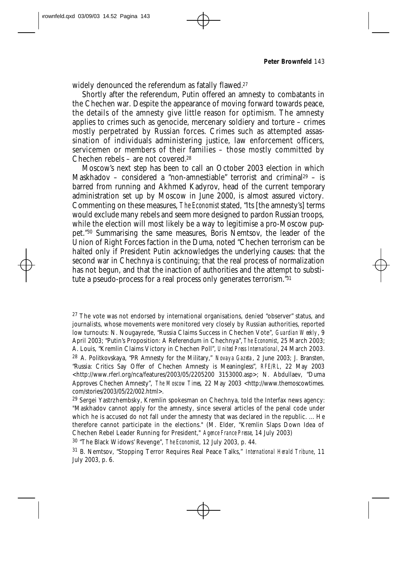widely denounced the referendum as fatally flawed.<sup>27</sup>

Shortly after the referendum, Putin offered an amnesty to combatants in the Chechen war. Despite the appearance of moving forward towards peace, the details of the amnesty give little reason for optimism. The amnesty applies to crimes such as genocide, mercenary soldiery and torture – crimes mostly perpetrated by Russian forces. Crimes such as attempted assassination of individuals administering justice, law enforcement officers, servicemen or members of their families – those mostly committed by Chechen rebels – are not covered.<sup>28</sup>

Moscow's next step has been to call an October 2003 election in which Maskhadov – considered a "non-amnestiable" terrorist and criminal<sup>29</sup> – is barred from running and Akhmed Kadyrov, head of the current temporary administration set up by Moscow in June 2000, is almost assured victory. Commenting on these measures, *The Economist* stated, "Its [the amnesty's] terms would exclude many rebels and seem more designed to pardon Russian troops, while the election will most likely be a way to legitimise a pro-Moscow puppet."<sup>30</sup> Summarising the same measures, Boris Nemtsov, the leader of the Union of Right Forces faction in the Duma, noted "Chechen terrorism can be halted only if President Putin acknowledges the underlying causes: that the second war in Chechnya is continuing; that the real process of normalization has not begun, and that the inaction of authorities and the attempt to substitute a pseudo-process for a real process only generates terrorism."<sup>31</sup>

<sup>27</sup> The vote was not endorsed by international organisations, denied "observer" status, and journalists, whose movements were monitored very closely by Russian authorities, reported low turnouts: N. Nougayrede, "Russia Claims Success in Chechen Vote", *Guardian Weekly,* 9 April 2003; "Putin's Proposition: A Referendum in Chechnya", *The Economist,* 25 March 2003; A. Louis, "Kremlin Claims Victory in Chechen Poll", *United Press International,* 24 March 2003. <sup>28</sup> A. Politkovskaya, "PR Amnesty for the Military," *Novaya Gazeta,* 2 June 2003; J. Bransten, "Russia: Critics Say Offer of Chechen Amnesty is Meaningless", *RFE/RL,* 22 May 2003 <http://www.rferl.org/nca/features/2003/05/2205200 3153000.asp>; N. Abdullaev, "Duma Approves Chechen Amnesty", *The Moscow Times,* 22 May 2003 <http://www.themoscowtimes. com/stories/2003/05/22/002.html>.

<sup>29</sup> Sergei Yastrzhembsky, Kremlin spokesman on Chechnya, told the Interfax news agency: "Maskhadov cannot apply for the amnesty, since several articles of the penal code under which he is accused do not fall under the amnesty that was declared in the republic. ... He therefore cannot participate in the elections." (M. Elder, "Kremlin Slaps Down Idea of Chechen Rebel Leader Running for President," *Agence France Presse*, 14 July 2003)

<sup>30</sup> "The Black Widows' Revenge", *The Economist,* 12 July 2003, p. 44.

<sup>31</sup> B. Nemtsov, "Stopping Terror Requires Real Peace Talks," *International Herald Tribune,* 11 July 2003, p. 6.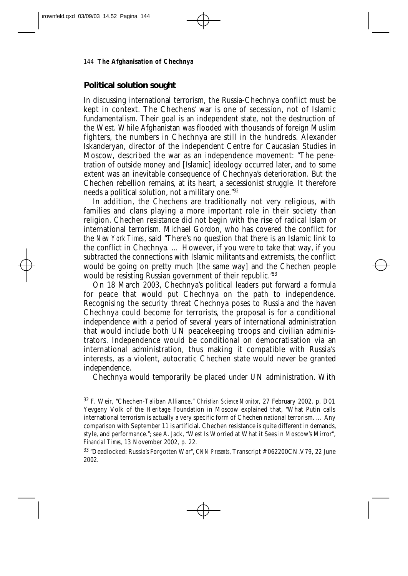## **Political solution sought**

In discussing international terrorism, the Russia-Chechnya conflict must be kept in context. The Chechens' war is one of secession, not of Islamic fundamentalism. Their goal is an independent state, not the destruction of the West. While Afghanistan was flooded with thousands of foreign Muslim fighters, the numbers in Chechnya are still in the hundreds. Alexander Iskanderyan, director of the independent Centre for Caucasian Studies in Moscow, described the war as an independence movement: "The penetration of outside money and [Islamic] ideology occurred later, and to some extent was an inevitable consequence of Chechnya's deterioration. But the Chechen rebellion remains, at its heart, a secessionist struggle. It therefore needs a political solution, not a military one."<sup>32</sup>

In addition, the Chechens are traditionally not very religious, with families and clans playing a more important role in their society than religion. Chechen resistance did not begin with the rise of radical Islam or international terrorism. Michael Gordon, who has covered the conflict for the *New York Times,* said "There's no question that there is an Islamic link to the conflict in Chechnya. … However, if you were to take that way, if you subtracted the connections with Islamic militants and extremists, the conflict would be going on pretty much [the same way] and the Chechen people would be resisting Russian government of their republic."33

On 18 March 2003, Chechnya's political leaders put forward a formula for peace that would put Chechnya on the path to independence. Recognising the security threat Chechnya poses to Russia and the haven Chechnya could become for terrorists, the proposal is for a conditional independence with a period of several years of international administration that would include both UN peacekeeping troops and civilian administrators. Independence would be conditional on democratisation via an international administration, thus making it compatible with Russia's interests, as a violent, autocratic Chechen state would never be granted independence.

Chechnya would temporarily be placed under UN administration. With

<sup>33</sup> "Deadlocked: Russia's Forgotten War", *CNN Presents,* Transcript # 062200CN.V79, 22 June 2002.

<sup>32</sup> F. Weir, "Chechen-Taliban Alliance," *Christian Science Monitor*, 27 February 2002, p. D01 Yevgeny Volk of the Heritage Foundation in Moscow explained that, "What Putin calls international terrorism is actually a very specific form of Chechen national terrorism. … Any comparison with September 11 is artificial. Chechen resistance is quite different in demands, style, and performance."; see A. Jack, "West Is Worried at What it Sees in Moscow's Mirror", *Financial Times,* 13 November 2002, p. 22.